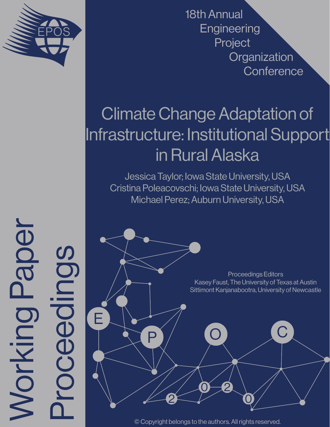

Working Paper

Morking

Paper

Proceedings

ceedings

18th Annual **Engineering** Project **Organization Conference** 

# Climate Change Adaptation of Infrastructure: Institutional Support in Rural Alaska

Jessica Taylor; Iowa State University, USA Cristina Poleacovschi; Iowa State University, USA Michael Perez; Auburn University, USA

E P 2  $0 - 2$ 0 O C Proceedings Editors Kasey Faust, The University of Texas at Austin Sittimont Kanjanabootra, University of Newcastle

© Copyright belongs to the authors. All rights reserved.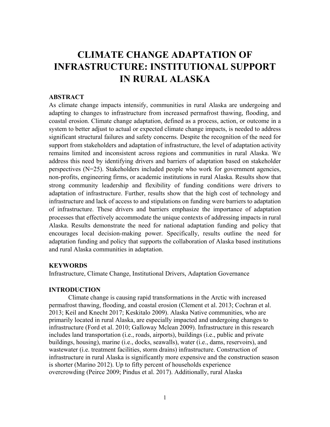# **CLIMATE CHANGE ADAPTATION OF INFRASTRUCTURE: INSTITUTIONAL SUPPORT IN RURAL ALASKA**

# **ABSTRACT**

As climate change impacts intensify, communities in rural Alaska are undergoing and adapting to changes to infrastructure from increased permafrost thawing, flooding, and coastal erosion. Climate change adaptation, defined as a process, action, or outcome in a system to better adjust to actual or expected climate change impacts, is needed to address significant structural failures and safety concerns. Despite the recognition of the need for support from stakeholders and adaptation of infrastructure, the level of adaptation activity remains limited and inconsistent across regions and communities in rural Alaska. We address this need by identifying drivers and barriers of adaptation based on stakeholder perspectives (N=25). Stakeholders included people who work for government agencies, non-profits, engineering firms, or academic institutions in rural Alaska. Results show that strong community leadership and flexibility of funding conditions were drivers to adaptation of infrastructure. Further, results show that the high cost of technology and infrastructure and lack of access to and stipulations on funding were barriers to adaptation of infrastructure. These drivers and barriers emphasize the importance of adaptation processes that effectively accommodate the unique contexts of addressing impacts in rural Alaska. Results demonstrate the need for national adaptation funding and policy that encourages local decision-making power. Specifically, results outline the need for adaptation funding and policy that supports the collaboration of Alaska based institutions and rural Alaska communities in adaptation.

# **KEYWORDS**

Infrastructure, Climate Change, Institutional Drivers, Adaptation Governance

#### **INTRODUCTION**

Climate change is causing rapid transformations in the Arctic with increased permafrost thawing, flooding, and coastal erosion (Clement et al. 2013; Cochran et al. 2013; Keil and Knecht 2017; Keskitalo 2009). Alaska Native communities, who are primarily located in rural Alaska, are especially impacted and undergoing changes to infrastructure (Ford et al. 2010; Galloway Mclean 2009). Infrastructure in this research includes land transportation (i.e., roads, airports), buildings (i.e., public and private buildings, housing), marine (i.e., docks, seawalls), water (i.e., dams, reservoirs), and wastewater (i.e. treatment facilities, storm drains) infrastructure. Construction of infrastructure in rural Alaska is significantly more expensive and the construction season is shorter (Marino 2012). Up to fifty percent of households experience overcrowding (Peirce 2009; Pindus et al. 2017). Additionally, rural Alaska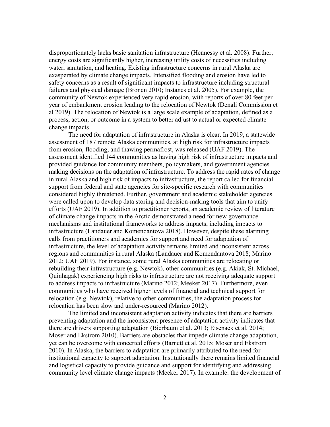disproportionately lacks basic sanitation infrastructure [\(Hennessy et al. 2008\).](https://www.ncbi.nlm.nih.gov/pubmed/?term=Hennessy%20TW%5BAuthor%5D&cauthor=true&cauthor_uid=18382002) Further, energy costs are significantly higher, increasing utility costs of necessities including water, sanitation, and heating. Existing infrastructure concerns in rural Alaska are exasperated by climate change impacts. Intensified flooding and erosion have led to safety concerns as a result of significant impacts to infrastructure including structural failures and physical damage (Bronen 2010; Instanes et al. 2005). For example, the community of Newtok experienced very rapid erosion, with reports of over 80 feet per year of embankment erosion leading to the relocation of Newtok (Denali Commission et al 2019). The relocation of Newtok is a large scale example of adaptation, defined as a process, action, or outcome in a system to better adjust to actual or expected climate change impacts.

The need for adaptation of infrastructure in Alaska is clear. In 2019, a statewide assessment of 187 remote Alaska communities, at high risk for infrastructure impacts from erosion, flooding, and thawing permafrost, was released (UAF 2019). The assessment identified 144 communities as having high risk of infrastructure impacts and provided guidance for community members, policymakers, and government agencies making decisions on the adaptation of infrastructure. To address the rapid rates of change in rural Alaska and high risk of impacts to infrastructure, the report called for financial support from federal and state agencies for site-specific research with communities considered highly threatened. Further, government and academic stakeholder agencies were called upon to develop data storing and decision-making tools that aim to unify efforts (UAF 2019). In addition to practitioner reports, an academic review of literature of climate change impacts in the Arctic demonstrated a need for new governance mechanisms and institutional frameworks to address impacts, including impacts to infrastructure (Landauer and Komendantova 2018). However, despite these alarming calls from practitioners and academics for support and need for adaptation of infrastructure, the level of adaptation activity remains limited and inconsistent across regions and communities in rural Alaska (Landauer and Komendantova 2018; Marino 2012; UAF 2019). For instance, some rural Alaska communities are relocating or rebuilding their infrastructure (e.g. Newtok), other communities (e.g. Akiak, St. Michael, Quinhagak) experiencing high risks to infrastructure are not receiving adequate support to address impacts to infrastructure (Marino 2012; Meeker 2017). Furthermore, even communities who have received higher levels of financial and technical support for relocation (e.g. Newtok), relative to other communities, the adaptation process for relocation has been slow and under-resourced (Marino 2012).

The limited and inconsistent adaptation activity indicates that there are barriers preventing adaptation and the inconsistent presence of adaptation activity indicates that there are drivers supporting adaptation (Bierbaum et al. 2013; Eisenack et al. 2014; Moser and Ekstrom 2010). Barriers are obstacles that impede climate change adaptation, yet can be overcome with concerted efforts (Barnett et al. 2015; Moser and Ekstrom 2010). In Alaska, the barriers to adaptation are primarily attributed to the need for institutional capacity to support adaptation. Institutionally there remains limited financial and logistical capacity to provide guidance and support for identifying and addressing community level climate change impacts (Meeker 2017). In example: the development of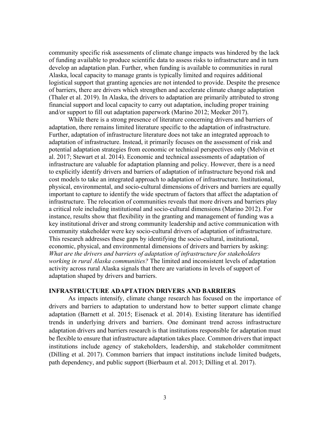community specific risk assessments of climate change impacts was hindered by the lack of funding available to produce scientific data to assess risks to infrastructure and in turn develop an adaptation plan. Further, when funding is available to communities in rural Alaska, local capacity to manage grants is typically limited and requires additional logistical support that granting agencies are not intended to provide. Despite the presence of barriers, there are drivers which strengthen and accelerate climate change adaptation (Thaler et al. 2019). In Alaska, the drivers to adaptation are primarily attributed to strong financial support and local capacity to carry out adaptation, including proper training and/or support to fill out adaptation paperwork (Marino 2012; Meeker 2017).

While there is a strong presence of literature concerning drivers and barriers of adaptation, there remains limited literature specific to the adaptation of infrastructure. Further, adaptation of infrastructure literature does not take an integrated approach to adaptation of infrastructure. Instead, it primarily focuses on the assessment of risk and potential adaptation strategies from economic or technical perspectives only (Melvin et al. 2017; Stewart et al. 2014). Economic and technical assessments of adaptation of infrastructure are valuable for adaptation planning and policy. However, there is a need to explicitly identify drivers and barriers of adaptation of infrastructure beyond risk and cost models to take an integrated approach to adaptation of infrastructure. Institutional, physical, environmental, and socio-cultural dimensions of drivers and barriers are equally important to capture to identify the wide spectrum of factors that affect the adaptation of infrastructure. The relocation of communities reveals that more drivers and barriers play a critical role including institutional and socio-cultural dimensions (Marino 2012). For instance, results show that flexibility in the granting and management of funding was a key institutional driver and strong community leadership and active communication with community stakeholder were key socio-cultural drivers of adaptation of infrastructure. This research addresses these gaps by identifying the socio-cultural, institutional, economic, physical, and environmental dimensions of drivers and barriers by asking: *What are the drivers and barriers of adaptation of infrastructure for stakeholders working in rural Alaska communities?* The limited and inconsistent levels of adaptation activity across rural Alaska signals that there are variations in levels of support of adaptation shaped by drivers and barriers.

# **INFRASTRUCTURE ADAPTATION DRIVERS AND BARRIERS**

As impacts intensify, climate change research has focused on the importance of drivers and barriers to adaptation to understand how to better support climate change adaptation (Barnett et al. 2015; Eisenack et al. 2014). Existing literature has identified trends in underlying drivers and barriers. One dominant trend across infrastructure adaptation drivers and barriers research is that institutions responsible for adaptation must be flexible to ensure that infrastructure adaptation takes place. Common drivers that impact institutions include agency of stakeholders, leadership, and stakeholder commitment (Dilling et al. 2017). Common barriers that impact institutions include limited budgets, path dependency, and public support (Bierbaum et al. 2013; Dilling et al. 2017).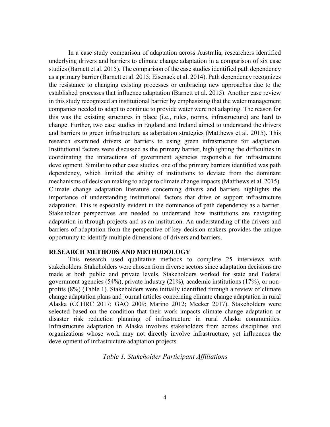In a case study comparison of adaptation across Australia, researchers identified underlying drivers and barriers to climate change adaptation in a comparison of six case studies (Barnett et al. 2015). The comparison of the case studies identified path dependency as a primary barrier (Barnett et al. 2015; Eisenack et al. 2014). Path dependency recognizes the resistance to changing existing processes or embracing new approaches due to the established processes that influence adaptation (Barnett et al. 2015). Another case review in this study recognized an institutional barrier by emphasizing that the water management companies needed to adapt to continue to provide water were not adapting. The reason for this was the existing structures in place (i.e., rules, norms, infrastructure) are hard to change. Further, two case studies in England and Ireland aimed to understand the drivers and barriers to green infrastructure as adaptation strategies (Matthews et al. 2015). This research examined drivers or barriers to using green infrastructure for adaptation. Institutional factors were discussed as the primary barrier, highlighting the difficulties in coordinating the interactions of government agencies responsible for infrastructure development. Similar to other case studies, one of the primary barriers identified was path dependency, which limited the ability of institutions to deviate from the dominant mechanisms of decision making to adapt to climate change impacts (Matthews et al. 2015). Climate change adaptation literature concerning drivers and barriers highlights the importance of understanding institutional factors that drive or support infrastructure adaptation. This is especially evident in the dominance of path dependency as a barrier. Stakeholder perspectives are needed to understand how institutions are navigating adaptation in through projects and as an institution. An understanding of the drivers and barriers of adaptation from the perspective of key decision makers provides the unique opportunity to identify multiple dimensions of drivers and barriers.

# **RESEARCH METHODS AND METHODOLOGY**

This research used qualitative methods to complete 25 interviews with stakeholders. Stakeholders were chosen from diverse sectors since adaptation decisions are made at both public and private levels. Stakeholders worked for state and Federal government agencies (54%), private industry (21%), academic institutions (17%), or nonprofits (8%) (Table 1). Stakeholders were initially identified through a review of climate change adaptation plans and journal articles concerning climate change adaptation in rural Alaska (CCHRC 2017; GAO 2009; Marino 2012; Meeker 2017). Stakeholders were selected based on the condition that their work impacts climate change adaptation or disaster risk reduction planning of infrastructure in rural Alaska communities. Infrastructure adaptation in Alaska involves stakeholders from across disciplines and organizations whose work may not directly involve infrastructure, yet influences the development of infrastructure adaptation projects.

*Table 1. Stakeholder Participant Affiliations*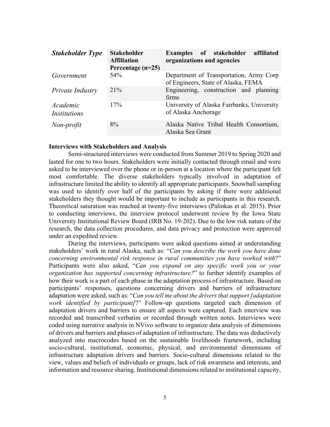| <b>Stakeholder Type</b>  | <b>Stakeholder</b><br><b>Affiliation</b><br>Percentage $(n=25)$ | affiliated<br><b>Examples</b> of stakeholder<br>organizations and agencies     |
|--------------------------|-----------------------------------------------------------------|--------------------------------------------------------------------------------|
| Government               | 54 <sup>\o</sup>                                                | Department of Transportation, Army Corp<br>of Engineers, State of Alaska, FEMA |
| Private Industry         | $21\%$                                                          | Engineering, construction and planning<br>firms                                |
| Academic<br>Institutions | 17%                                                             | University of Alaska Fairbanks, University<br>of Alaska Anchorage              |
| Non-profit               | 8%                                                              | Alaska Native Tribal Health Consortium,<br>Alaska Sea Grant                    |

#### **Interviews with Stakeholders and Analysis**

Semi-structured interviews were conducted from Summer 2019 to Spring 2020 and lasted for one to two hours. Stakeholders were initially contacted through email and were asked to be interviewed over the phone or in-person at a location where the participant felt most comfortable. The diverse stakeholders typically involved in adaptation of infrastructure limited the ability to identify all appropriate participants. Snowball sampling was used to identify over half of the participants by asking if there were additional stakeholders they thought would be important to include as participants in this research. Theoretical saturation was reached at twenty-five interviews (Palinkas et al. 2015). Prior to conducting interviews, the interview protocol underwent review by the Iowa State University Institutional Review Board (IRB No. 19-202). Due to the low risk nature of the research, the data collection procedures, and data privacy and protection were approved under an expedited review.

During the interviews, participants were asked questions aimed at understanding stakeholders' work in rural Alaska, such as: "*Can you describe the work you have done concerning environmental risk response in rural communities you have worked with*?" Participants were also asked, "*Can you expand on any specific work you or your organization has supported concerning infrastructure?*" to further identify examples of how their work is a part of each phase in the adaptation process of infrastructure. Based on participants' responses, questions concerning drivers and barriers of infrastructure adaptation were asked, such as: "*Can you tell me about the drivers that support [adaptation work identified by participant]*?" Follow-up questions targeted each dimension of adaptation drivers and barriers to ensure all aspects were captured. Each interview was recorded and transcribed verbatim or recorded through written notes. Interviews were coded using narrative analysis in NVivo software to organize data analysis of dimensions of drivers and barriers and phases of adaptation of infrastructure. The data was deductively analyzed into macrocodes based on the sustainable livelihoods framework, including socio-cultural, institutional, economic, physical, and environmental dimensions of infrastructure adaptation drivers and barriers. Socio-cultural dimensions related to the view, values and beliefs of individuals or groups, lack of risk awareness and interests, and information and resource sharing. Institutional dimensions related to institutional capacity,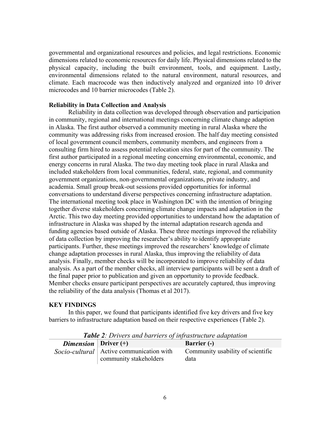governmental and organizational resources and policies, and legal restrictions. Economic dimensions related to economic resources for daily life. Physical dimensions related to the physical capacity, including the built environment, tools, and equipment. Lastly, environmental dimensions related to the natural environment, natural resources, and climate. Each macrocode was then inductively analyzed and organized into 10 driver microcodes and 10 barrier microcodes (Table 2).

# **Reliability in Data Collection and Analysis**

Reliability in data collection was developed through observation and participation in community, regional and international meetings concerning climate change adaption in Alaska. The first author observed a community meeting in rural Alaska where the community was addressing risks from increased erosion. The half day meeting consisted of local government council members, community members, and engineers from a consulting firm hired to assess potential relocation sites for part of the community. The first author participated in a regional meeting concerning environmental, economic, and energy concerns in rural Alaska. The two day meeting took place in rural Alaska and included stakeholders from local communities, federal, state, regional, and community government organizations, non-governmental organizations, private industry, and academia. Small group break-out sessions provided opportunities for informal conversations to understand diverse perspectives concerning infrastructure adaptation. The international meeting took place in Washington DC with the intention of bringing together diverse stakeholders concerning climate change impacts and adaptation in the Arctic. This two day meeting provided opportunities to understand how the adaptation of infrastructure in Alaska was shaped by the internal adaptation research agenda and funding agencies based outside of Alaska. These three meetings improved the reliability of data collection by improving the researcher's ability to identify appropriate participants. Further, these meetings improved the researchers' knowledge of climate change adaptation processes in rural Alaska, thus improving the reliability of data analysis. Finally, member checks will be incorporated to improve reliability of data analysis. As a part of the member checks, all interview participants will be sent a draft of the final paper prior to publication and given an opportunity to provide feedback. Member checks ensure participant perspectives are accurately captured, thus improving the reliability of the data analysis (Thomas et al 2017).

#### **KEY FINDINGS**

In this paper, we found that participants identified five key drivers and five key barriers to infrastructure adaptation based on their respective experiences (Table 2).

| <b>Table 2.</b> Drivers and barriers of infrastructure duaptation |                                                                      |                                           |  |  |
|-------------------------------------------------------------------|----------------------------------------------------------------------|-------------------------------------------|--|--|
| <i>Dimension</i>   Driver $(+)$                                   |                                                                      | <b>Barrier</b> (-)                        |  |  |
|                                                                   | Socio-cultural   Active communication with<br>community stakeholders | Community usability of scientific<br>data |  |  |

*Table 2: Drivers and barriers of infrastructure adaptation*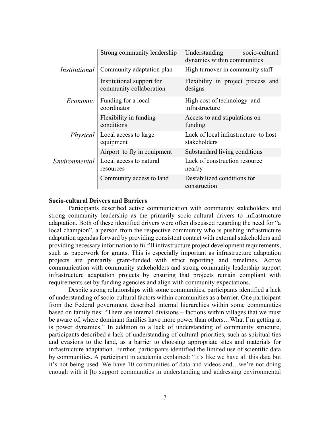|               | Strong community leadership                          | Understanding<br>socio-cultural<br>dynamics within communities |
|---------------|------------------------------------------------------|----------------------------------------------------------------|
| Institutional | Community adaptation plan                            | High turnover in community staff                               |
|               | Institutional support for<br>community collaboration | Flexibility in project process and<br>designs                  |
| Economic      | Funding for a local<br>coordinator                   | High cost of technology and<br>infrastructure                  |
|               | Flexibility in funding<br>conditions                 | Access to and stipulations on<br>funding                       |
| Physical      | Local access to large<br>equipment                   | Lack of local infrastructure to host<br>stakeholders           |
|               | Airport to fly in equipment                          | Substandard living conditions                                  |
| Environmental | Local access to natural<br>resources                 | Lack of construction resource<br>nearby                        |
|               | Community access to land                             | Destabilized conditions for<br>construction                    |
|               |                                                      |                                                                |

#### **Socio-cultural Drivers and Barriers**

Participants described active communication with community stakeholders and strong community leadership as the primarily socio-cultural drivers to infrastructure adaptation. Both of these identified drivers were often discussed regarding the need for "a local champion", a person from the respective community who is pushing infrastructure adaptation agendas forward by providing consistent contact with external stakeholders and providing necessary information to fulfill infrastructure project development requirements, such as paperwork for grants. This is especially important as infrastructure adaptation projects are primarily grant-funded with strict reporting and timelines. Active communication with community stakeholders and strong community leadership support infrastructure adaptation projects by ensuring that projects remain compliant with requirements set by funding agencies and align with community expectations.

Despite strong relationships with some communities, participants identified a lack of understanding of socio-cultural factors within communities as a barrier. One participant from the Federal government described internal hierarchies within some communities based on family ties: "There are internal divisions – factions within villages that we must be aware of, where dominant families have more power than others…What I'm getting at is power dynamics." In addition to a lack of understanding of community structure, participants described a lack of understanding of cultural priorities, such as spiritual ties and evasions to the land, as a barrier to choosing appropriate sites and materials for infrastructure adaptation. Further, participants identified the limited use of scientific data by communities. A participant in academia explained: "It's like we have all this data but it's not being used. We have 10 communities of data and videos and…we're not doing enough with it [to support communities in understanding and addressing environmental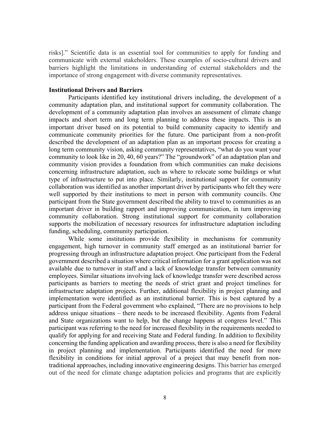risks]." Scientific data is an essential tool for communities to apply for funding and communicate with external stakeholders. These examples of socio-cultural drivers and barriers highlight the limitations in understanding of external stakeholders and the importance of strong engagement with diverse community representatives.

#### **Institutional Drivers and Barriers**

Participants identified key institutional drivers including, the development of a community adaptation plan, and institutional support for community collaboration. The development of a community adaptation plan involves an assessment of climate change impacts and short term and long term planning to address these impacts. This is an important driver based on its potential to build community capacity to identify and communicate community priorities for the future. One participant from a non-profit described the development of an adaptation plan as an important process for creating a long term community vision, asking community representatives, "what do you want your community to look like in 20, 40, 60 years?" The "groundwork" of an adaptation plan and community vision provides a foundation from which communities can make decisions concerning infrastructure adaptation, such as where to relocate some buildings or what type of infrastructure to put into place. Similarly, institutional support for community collaboration was identified as another important driver by participants who felt they were well supported by their institutions to meet in person with community councils. One participant from the State government described the ability to travel to communities as an important driver in building rapport and improving communication, in turn improving community collaboration. Strong institutional support for community collaboration supports the mobilization of necessary resources for infrastructure adaptation including funding, scheduling, community participation.

While some institutions provide flexibility in mechanisms for community engagement, high turnover in community staff emerged as an institutional barrier for progressing through an infrastructure adaptation project. One participant from the Federal government described a situation where critical information for a grant application was not available due to turnover in staff and a lack of knowledge transfer between community employees. Similar situations involving lack of knowledge transfer were described across participants as barriers to meeting the needs of strict grant and project timelines for infrastructure adaptation projects. Further, additional flexibility in project planning and implementation were identified as an institutional barrier. This is best captured by a participant from the Federal government who explained, "There are no provisions to help address unique situations – there needs to be increased flexibility. Agents from Federal and State organizations want to help, but the change happens at congress level." This participant was referring to the need for increased flexibility in the requirements needed to qualify for applying for and receiving State and Federal funding. In addition to flexibility concerning the funding application and awarding process, there is also a need for flexibility in project planning and implementation. Participants identified the need for more flexibility in conditions for initial approval of a project that may benefit from nontraditional approaches, including innovative engineering designs. This barrier has emerged out of the need for climate change adaptation policies and programs that are explicitly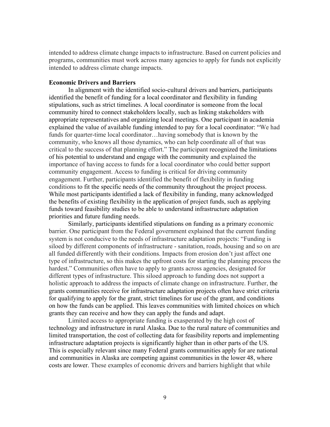intended to address climate change impacts to infrastructure. Based on current policies and programs, communities must work across many agencies to apply for funds not explicitly intended to address climate change impacts.

#### **Economic Drivers and Barriers**

 In alignment with the identified socio-cultural drivers and barriers, participants identified the benefit of funding for a local coordinator and flexibility in funding stipulations, such as strict timelines. A local coordinator is someone from the local community hired to connect stakeholders locally, such as linking stakeholders with appropriate representatives and organizing local meetings. One participant in academia explained the value of available funding intended to pay for a local coordinator: "We had funds for quarter-time local coordinator…having somebody that is known by the community, who knows all those dynamics, who can help coordinate all of that was critical to the success of that planning effort." The participant recognized the limitations of his potential to understand and engage with the community and explained the importance of having access to funds for a local coordinator who could better support community engagement. Access to funding is critical for driving community engagement. Further, participants identified the benefit of flexibility in funding conditions to fit the specific needs of the community throughout the project process. While most participants identified a lack of flexibility in funding, many acknowledged the benefits of existing flexibility in the application of project funds, such as applying funds toward feasibility studies to be able to understand infrastructure adaptation priorities and future funding needs.

Similarly, participants identified stipulations on funding as a primary economic barrier. One participant from the Federal government explained that the current funding system is not conducive to the needs of infrastructure adaptation projects: "Funding is siloed by different components of infrastructure - sanitation, roads, housing and so on are all funded differently with their conditions. Impacts from erosion don't just affect one type of infrastructure, so this makes the upfront costs for starting the planning process the hardest." Communities often have to apply to grants across agencies, designated for different types of infrastructure. This siloed approach to funding does not support a holistic approach to address the impacts of climate change on infrastructure. Further, the grants communities receive for infrastructure adaptation projects often have strict criteria for qualifying to apply for the grant, strict timelines for use of the grant, and conditions on how the funds can be applied. This leaves communities with limited choices on which grants they can receive and how they can apply the funds and adapt.

Limited access to appropriate funding is exasperated by the high cost of technology and infrastructure in rural Alaska. Due to the rural nature of communities and limited transportation, the cost of collecting data for feasibility reports and implementing infrastructure adaptation projects is significantly higher than in other parts of the US. This is especially relevant since many Federal grants communities apply for are national and communities in Alaska are competing against communities in the lower 48, where costs are lower. These examples of economic drivers and barriers highlight that while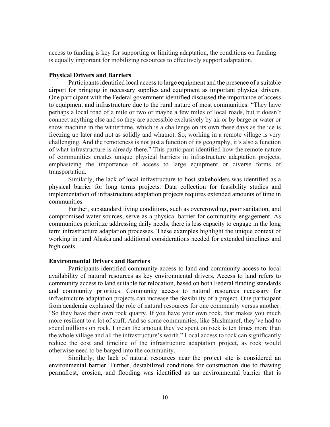access to funding is key for supporting or limiting adaptation, the conditions on funding is equally important for mobilizing resources to effectively support adaptation.

# **Physical Drivers and Barriers**

Participants identified local access to large equipment and the presence of a suitable airport for bringing in necessary supplies and equipment as important physical drivers. One participant with the Federal government identified discussed the importance of access to equipment and infrastructure due to the rural nature of most communities: "They have perhaps a local road of a mile or two or maybe a few miles of local roads, but it doesn't connect anything else and so they are accessible exclusively by air or by barge or water or snow machine in the wintertime, which is a challenge on its own these days as the ice is freezing up later and not as solidly and whatnot. So, working in a remote village is very challenging. And the remoteness is not just a function of its geography, it's also a function of what infrastructure is already there." This participant identified how the remote nature of communities creates unique physical barriers in infrastructure adaptation projects, emphasizing the importance of access to large equipment or diverse forms of transportation.

Similarly, the lack of local infrastructure to host stakeholders was identified as a physical barrier for long terms projects. Data collection for feasibility studies and implementation of infrastructure adaptation projects requires extended amounts of time in communities.

Further, substandard living conditions, such as overcrowding, poor sanitation, and compromised water sources, serve as a physical barrier for community engagement. As communities prioritize addressing daily needs, there is less capacity to engage in the long term infrastructure adaptation processes. These examples highlight the unique context of working in rural Alaska and additional considerations needed for extended timelines and high costs.

#### **Environmental Drivers and Barriers**

Participants identified community access to land and community access to local availability of natural resources as key environmental drivers. Access to land refers to community access to land suitable for relocation, based on both Federal funding standards and community priorities. Community access to natural resources necessary for infrastructure adaptation projects can increase the feasibility of a project. One participant from academia explained the role of natural resources for one community versus another: "So they have their own rock quarry. If you have your own rock, that makes you much more resilient to a lot of stuff. And so some communities, like Shishmaref, they've had to spend millions on rock. I mean the amount they've spent on rock is ten times more than the whole village and all the infrastructure's worth." Local access to rock can significantly reduce the cost and timeline of the infrastructure adaptation project, as rock would otherwise need to be barged into the community.

Similarly, the lack of natural resources near the project site is considered an environmental barrier. Further, destabilized conditions for construction due to thawing permafrost, erosion, and flooding was identified as an environmental barrier that is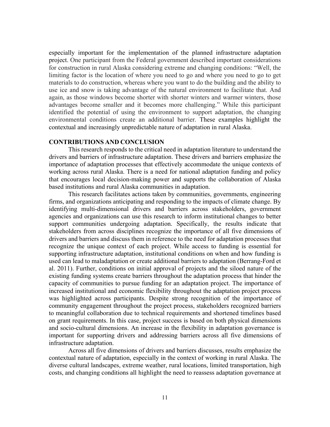especially important for the implementation of the planned infrastructure adaptation project. One participant from the Federal government described important considerations for construction in rural Alaska considering extreme and changing conditions: "Well, the limiting factor is the location of where you need to go and where you need to go to get materials to do construction, whereas where you want to do the building and the ability to use ice and snow is taking advantage of the natural environment to facilitate that. And again, as those windows become shorter with shorter winters and warmer winters, those advantages become smaller and it becomes more challenging." While this participant identified the potential of using the environment to support adaptation, the changing environmental conditions create an additional barrier. These examples highlight the contextual and increasingly unpredictable nature of adaptation in rural Alaska.

# **CONTRIBUTIONS AND CONCLUSION**

This research responds to the critical need in adaptation literature to understand the drivers and barriers of infrastructure adaptation. These drivers and barriers emphasize the importance of adaptation processes that effectively accommodate the unique contexts of working across rural Alaska. There is a need for national adaptation funding and policy that encourages local decision-making power and supports the collaboration of Alaska based institutions and rural Alaska communities in adaptation.

This research facilitates actions taken by communities, governments, engineering firms, and organizations anticipating and responding to the impacts of climate change. By identifying multi-dimensional drivers and barriers across stakeholders, government agencies and organizations can use this research to inform institutional changes to better support communities undergoing adaptation. Specifically, the results indicate that stakeholders from across disciplines recognize the importance of all five dimensions of drivers and barriers and discuss them in reference to the need for adaptation processes that recognize the unique context of each project. While access to funding is essential for supporting infrastructure adaptation, institutional conditions on when and how funding is used can lead to maladaptation or create additional barriers to adaptation (Berrang-Ford et al. 2011). Further, conditions on initial approval of projects and the siloed nature of the existing funding systems create barriers throughout the adaptation process that hinder the capacity of communities to pursue funding for an adaptation project. The importance of increased institutional and economic flexibility throughout the adaptation project process was highlighted across participants. Despite strong recognition of the importance of community engagement throughout the project process, stakeholders recognized barriers to meaningful collaboration due to technical requirements and shortened timelines based on grant requirements. In this case, project success is based on both physical dimensions and socio-cultural dimensions. An increase in the flexibility in adaptation governance is important for supporting drivers and addressing barriers across all five dimensions of infrastructure adaptation.

Across all five dimensions of drivers and barriers discusses, results emphasize the contextual nature of adaptation, especially in the context of working in rural Alaska. The diverse cultural landscapes, extreme weather, rural locations, limited transportation, high costs, and changing conditions all highlight the need to reassess adaptation governance at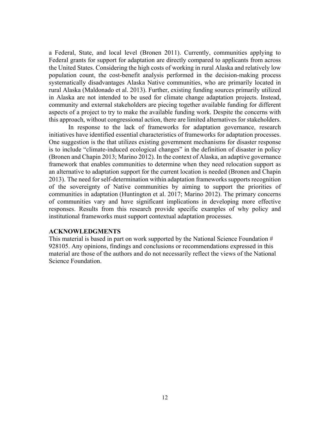a Federal, State, and local level (Bronen 2011). Currently, communities applying to Federal grants for support for adaptation are directly compared to applicants from across the United States. Considering the high costs of working in rural Alaska and relatively low population count, the cost-benefit analysis performed in the decision-making process systematically disadvantages Alaska Native communities, who are primarily located in rural Alaska (Maldonado et al. 2013). Further, existing funding sources primarily utilized in Alaska are not intended to be used for climate change adaptation projects. Instead, community and external stakeholders are piecing together available funding for different aspects of a project to try to make the available funding work. Despite the concerns with this approach, without congressional action, there are limited alternatives for stakeholders.

In response to the lack of frameworks for adaptation governance, research initiatives have identified essential characteristics of frameworks for adaptation processes. One suggestion is the that utilizes existing government mechanisms for disaster response is to include "climate-induced ecological changes" in the definition of disaster in policy (Bronen and Chapin 2013; Marino 2012). In the context of Alaska, an adaptive governance framework that enables communities to determine when they need relocation support as an alternative to adaptation support for the current location is needed (Bronen and Chapin 2013). The need for self-determination within adaptation frameworks supports recognition of the sovereignty of Native communities by aiming to support the priorities of communities in adaptation (Huntington et al. 2017; Marino 2012). The primary concerns of communities vary and have significant implications in developing more effective responses. Results from this research provide specific examples of why policy and institutional frameworks must support contextual adaptation processes.

# **ACKNOWLEDGMENTS**

This material is based in part on work supported by the National Science Foundation # 928105. Any opinions, findings and conclusions or recommendations expressed in this material are those of the authors and do not necessarily reflect the views of the National Science Foundation.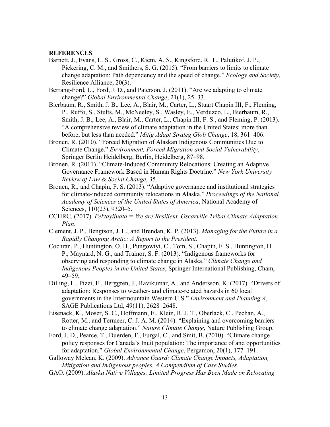#### **REFERENCES**

Barnett, J., Evans, L. S., Gross, C., Kiem, A. S., Kingsford, R. T., Palutikof, J. P., Pickering, C. M., and Smithers, S. G. (2015). "From barriers to limits to climate change adaptation: Path dependency and the speed of change." *Ecology and Society*, Resilience Alliance, 20(3).

Berrang-Ford, L., Ford, J. D., and Paterson, J. (2011). "Are we adapting to climate change?" *Global Environmental Change*, 21(1), 25–33.

- Bierbaum, R., Smith, J. B., Lee, A., Blair, M., Carter, L., Stuart Chapin III, F., Fleming, P., Ruffo, S., Stults, M., McNeeley, S., Wasley, E., Verduzco, L., Bierbaum, R., Smith, J. B., Lee, A., Blair, M., Carter, L., Chapin III, F. S., and Fleming, P. (2013). "A comprehensive review of climate adaptation in the United States: more than before, but less than needed." *Mitig Adapt Strateg Glob Change*, 18, 361–406.
- Bronen, R. (2010). "Forced Migration of Alaskan Indigenous Communities Due to Climate Change." *Environment, Forced Migration and Social Vulnerability*, Springer Berlin Heidelberg, Berlin, Heidelberg, 87–98.
- Bronen, R. (2011). "Climate-Induced Community Relocations: Creating an Adaptive Governance Framework Based in Human Rights Doctrine." *New York University Review of Law & Social Change*, 35.
- Bronen, R., and Chapin, F. S. (2013). "Adaptive governance and institutional strategies for climate-induced community relocations in Alaska." *Proceedings of the National Academy of Sciences of the United States of America*, National Academy of Sciences, 110(23), 9320–5.
- CCHRC. (2017). *Pektayiinata = We are Resilient, Oscarville Tribal Climate Adaptation Plan*.
- Clement, J. P., Bengtson, J. L., and Brendan, K. P. (2013). *Managing for the Future in a Rapidly Changing Arctic: A Report to the President*.
- Cochran, P., Huntington, O. H., Pungowiyi, C., Tom, S., Chapin, F. S., Huntington, H. P., Maynard, N. G., and Trainor, S. F. (2013). "Indigenous frameworks for observing and responding to climate change in Alaska." *Climate Change and Indigenous Peoples in the United States*, Springer International Publishing, Cham, 49–59.
- Dilling, L., Pizzi, E., Berggren, J., Ravikumar, A., and Andersson, K. (2017). "Drivers of adaptation: Responses to weather- and climate-related hazards in 60 local governments in the Intermountain Western U.S." *Environment and Planning A*, SAGE Publications Ltd, 49(11), 2628–2648.
- Eisenack, K., Moser, S. C., Hoffmann, E., Klein, R. J. T., Oberlack, C., Pechan, A., Rotter, M., and Termeer, C. J. A. M. (2014). "Explaining and overcoming barriers to climate change adaptation." *Nature Climate Change*, Nature Publishing Group.
- Ford, J. D., Pearce, T., Duerden, F., Furgal, C., and Smit, B. (2010). "Climate change policy responses for Canada's Inuit population: The importance of and opportunities for adaptation." *Global Environmental Change*, Pergamon, 20(1), 177–191.
- Galloway Mclean, K. (2009). *Advance Guard: Climate Change Impacts, Adaptation, Mitigation and Indigenous peoples. A Compendium of Case Studies*.
- GAO. (2009). *Alaska Native Villages: Limited Progress Has Been Made on Relocating*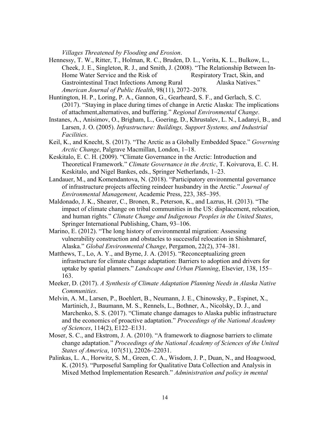*Villages Threatened by Flooding and Erosion*.

- Hennessy, T. W., Ritter, T., Holman, R. C., Bruden, D. L., Yorita, K. L., Bulkow, L., Cheek, J. E., Singleton, R. J., and Smith, J. (2008). "The Relationship Between In-Home Water Service and the Risk of Respiratory Tract, Skin, and Gastrointestinal Tract Infections Among Rural Alaska Natives." *American Journal of Public Health*, 98(11), 2072–2078.
- Huntington, H. P., Loring, P. A., Gannon, G., Gearheard, S. F., and Gerlach, S. C. (2017). "Staying in place during times of change in Arctic Alaska: The implications of attachment,alternatives, and buffering." *Regional Environmental Change*.
- Instanes, A., Anisimov, O., Brigham, L., Goering, D., Khrustalev, L. N., Ladanyi, B., and Larsen, J. O. (2005). *Infrastructure: Buildings, Support Systems, and Industrial Facilities*.
- Keil, K., and Knecht, S. (2017). "The Arctic as a Globally Embedded Space." *Governing Arctic Change*, Palgrave Macmillan, London, 1–18.
- Keskitalo, E. C. H. (2009). "Climate Governance in the Arctic: Introduction and Theoretical Framework." *Climate Governance in the Arctic*, T. Koivurova, E. C. H. Keskitalo, and Nigel Bankes, eds., Springer Netherlands, 1–23.
- Landauer, M., and Komendantova, N. (2018). "Participatory environmental governance of infrastructure projects affecting reindeer husbandry in the Arctic." *Journal of Environmental Management*, Academic Press, 223, 385–395.
- Maldonado, J. K., Shearer, C., Bronen, R., Peterson, K., and Lazrus, H. (2013). "The impact of climate change on tribal communities in the US: displacement, relocation, and human rights." *Climate Change and Indigenous Peoples in the United States*, Springer International Publishing, Cham, 93–106.
- Marino, E. (2012). "The long history of environmental migration: Assessing vulnerability construction and obstacles to successful relocation in Shishmaref, Alaska." *Global Environmental Change*, Pergamon, 22(2), 374–381.
- Matthews, T., Lo, A. Y., and Byrne, J. A. (2015). "Reconceptualizing green infrastructure for climate change adaptation: Barriers to adoption and drivers for uptake by spatial planners." *Landscape and Urban Planning*, Elsevier, 138, 155– 163.
- Meeker, D. (2017). *A Synthesis of Climate Adaptation Planning Needs in Alaska Native Communities*.
- Melvin, A. M., Larsen, P., Boehlert, B., Neumann, J. E., Chinowsky, P., Espinet, X., Martinich, J., Baumann, M. S., Rennels, L., Bothner, A., Nicolsky, D. J., and Marchenko, S. S. (2017). "Climate change damages to Alaska public infrastructure and the economics of proactive adaptation." *Proceedings of the National Academy of Sciences*, 114(2), E122–E131.
- Moser, S. C., and Ekstrom, J. A. (2010). "A framework to diagnose barriers to climate change adaptation." *Proceedings of the National Academy of Sciences of the United States of America*, 107(51), 22026–22031.
- Palinkas, L. A., Horwitz, S. M., Green, C. A., Wisdom, J. P., Duan, N., and Hoagwood, K. (2015). "Purposeful Sampling for Qualitative Data Collection and Analysis in Mixed Method Implementation Research." *Administration and policy in mental*